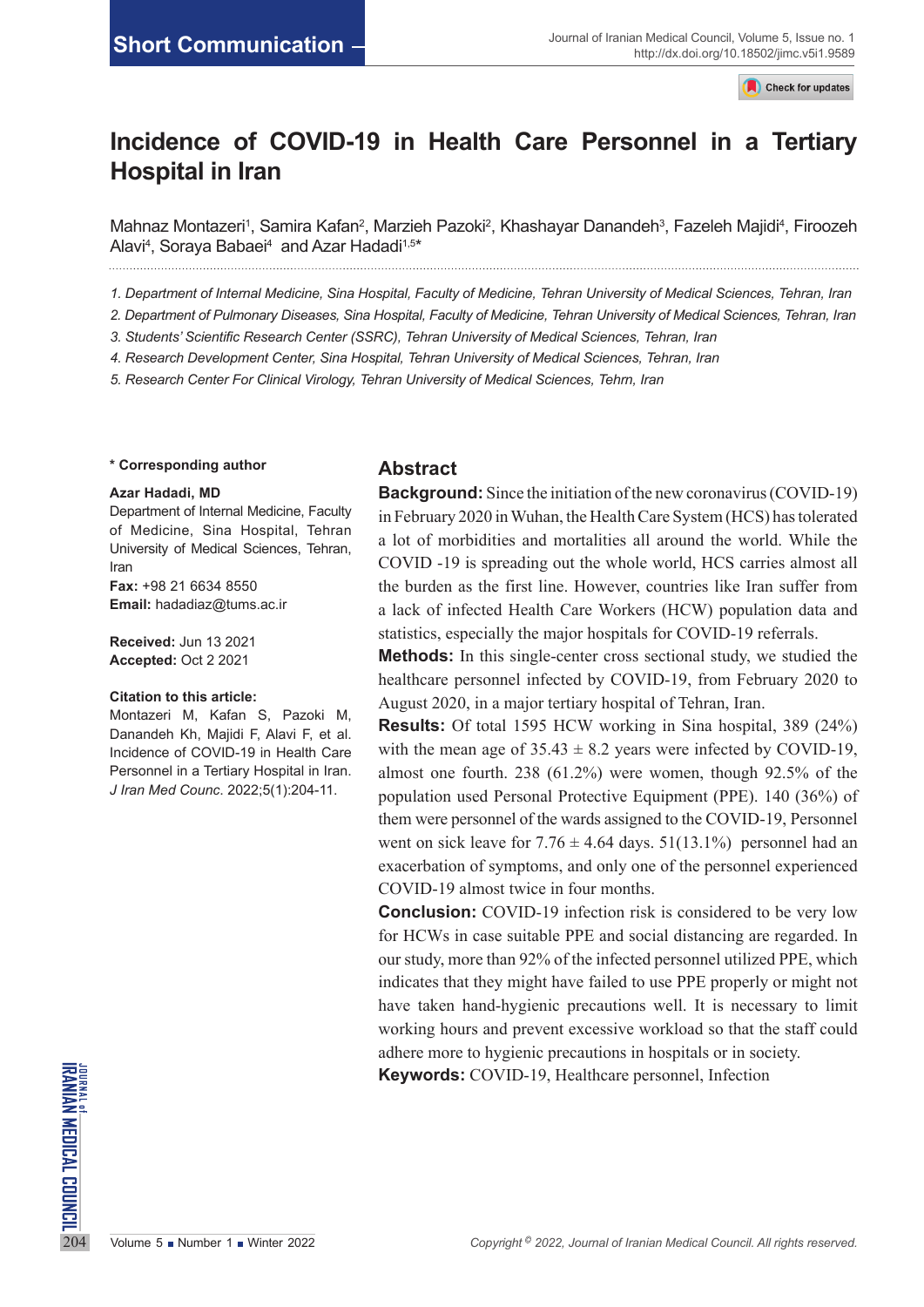Check for updates

# **Incidence of COVID-19 in Health Care Personnel in a Tertiary Hospital in Iran**

Mahnaz Montazeri<sup>1</sup>, Samira Kafan<sup>2</sup>, Marzieh Pazoki<sup>2</sup>, Khashayar Danandeh<sup>3</sup>, Fazeleh Majidi<sup>4</sup>, Firoozeh Alavi<sup>4</sup>, Soraya Babaei<sup>4</sup> and Azar Hadadi<sup>1,5</sup>\* 

*1. Department of Internal Medicine, Sina Hospital, Faculty of Medicine, Tehran University of Medical Sciences, Tehran, Iran* 

*2. Department of Pulmonary Diseases, Sina Hospital, Faculty of Medicine, Tehran University of Medical Sciences, Tehran, Iran*

*3. Students' Scientific Research Center (SSRC), Tehran University of Medical Sciences, Tehran, Iran*

*4. Research Development Center, Sina Hospital, Tehran University of Medical Sciences, Tehran, Iran*

*5. Research Center For Clinical Virology, Tehran University of Medical Sciences, Tehrn, Iran*

#### **\* Corresponding author**

#### **Azar Hadadi, MD**

Department of Internal Medicine, Faculty of Medicine, Sina Hospital, Tehran University of Medical Sciences, Tehran, Iran **Fax:** +98 21 6634 8550 **Email:** [hadadiaz@tums.ac.ir](mailto:hadadiaz@tums.ac.ir)

**Received:** Jun 13 2021 **Accepted:** Oct 2 2021

#### **Citation to this article:**

Montazeri M, Kafan S, Pazoki M, Danandeh Kh, Majidi F, Alavi F, et al. Incidence of COVID-19 in Health Care Personnel in a Tertiary Hospital in Iran. *J Iran Med Counc*. 2022;5(1):204-11.

### **Abstract**

**Background:** Since the initiation of the new coronavirus (COVID-19) in February 2020 in Wuhan, the Health Care System (HCS) has tolerated a lot of morbidities and mortalities all around the world. While the COVID -19 is spreading out the whole world, HCS carries almost all the burden as the first line. However, countries like Iran suffer from a lack of infected Health Care Workers (HCW) population data and statistics, especially the major hospitals for COVID-19 referrals.

**Methods:** In this single-center cross sectional study, we studied the healthcare personnel infected by COVID-19, from February 2020 to August 2020, in a major tertiary hospital of Tehran, Iran.

**Results:** Of total 1595 HCW working in Sina hospital, 389 (24%) with the mean age of  $35.43 \pm 8.2$  years were infected by COVID-19, almost one fourth. 238 (61.2%) were women, though 92.5% of the population used Personal Protective Equipment (PPE). 140 (36%) of them were personnel of the wards assigned to the COVID-19, Personnel went on sick leave for  $7.76 \pm 4.64$  days.  $51(13.1\%)$  personnel had an exacerbation of symptoms, and only one of the personnel experienced COVID-19 almost twice in four months.

**Conclusion:** COVID-19 infection risk is considered to be very low for HCWs in case suitable PPE and social distancing are regarded. In our study, more than 92% of the infected personnel utilized PPE, which indicates that they might have failed to use PPE properly or might not have taken hand-hygienic precautions well. It is necessary to limit working hours and prevent excessive workload so that the staff could adhere more to hygienic precautions in hospitals or in society.

**204 Volume 5 Number 1 Winter 2022**<br> **204 Volume 5 Number 1 Winter 2022**<br>
204 Volume 5 Number 1 Winter 2022<br>
204 Volume 5 Number 1 Winter 2022<br>
2022, *Journal of Iranian Medical Council. All rights reserved.* **Keywords:** COVID-19, Healthcare personnel, Infection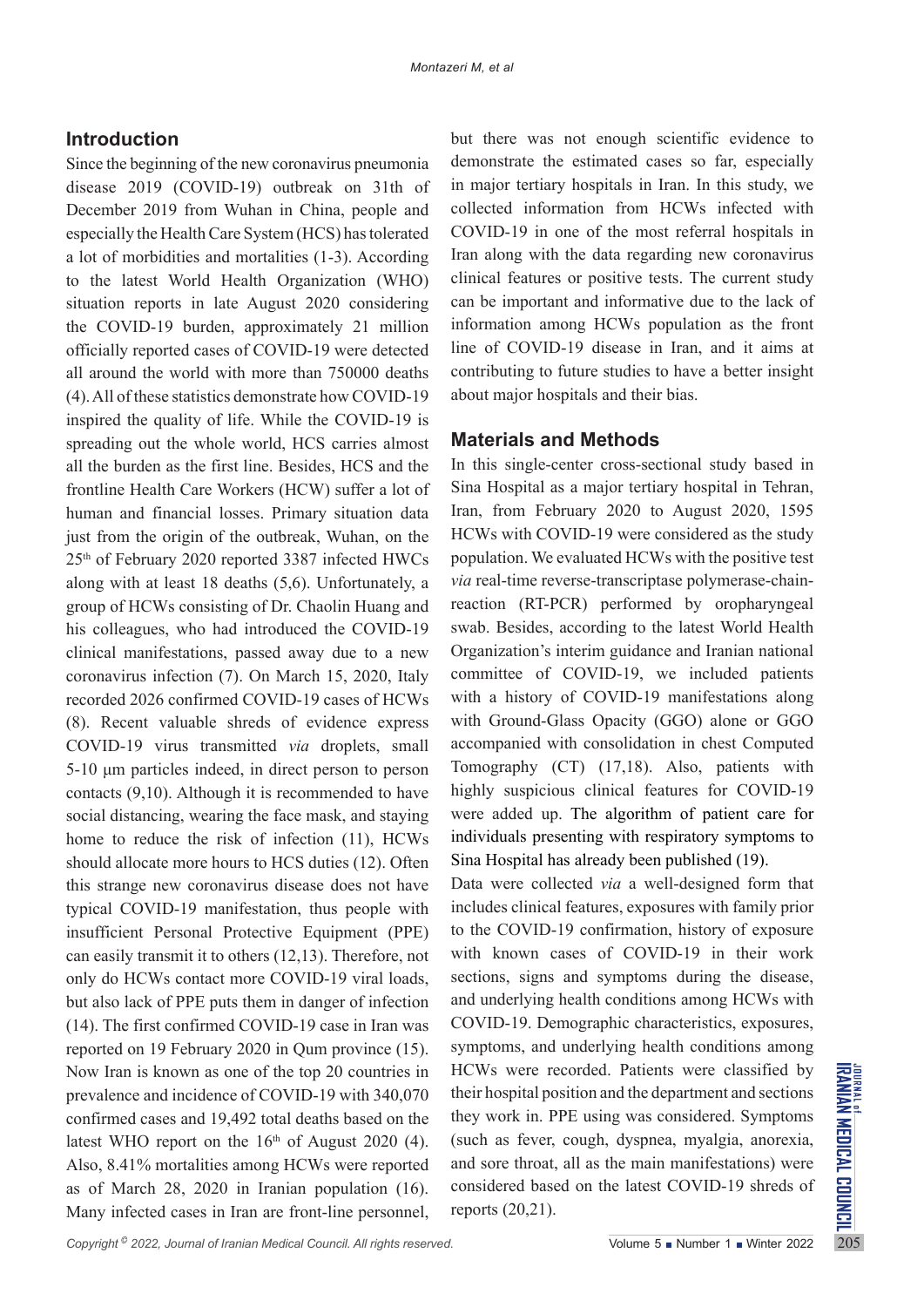### **Introduction**

Since the beginning of the new coronavirus pneumonia disease 2019 (COVID-19) outbreak on 31th of December 2019 from Wuhan in China, people and especially the Health Care System (HCS) has tolerated a lot of morbidities and mortalities (1-3). According to the latest World Health Organization (WHO) situation reports in late August 2020 considering the COVID-19 burden, approximately 21 million officially reported cases of COVID-19 were detected all around the world with more than 750000 deaths (4). All of these statistics demonstrate how COVID-19 inspired the quality of life. While the COVID-19 is spreading out the whole world, HCS carries almost all the burden as the first line. Besides, HCS and the frontline Health Care Workers (HCW) suffer a lot of human and financial losses. Primary situation data just from the origin of the outbreak, Wuhan, on the 25th of February 2020 reported 3387 infected HWCs along with at least 18 deaths (5,6). Unfortunately, a group of HCWs consisting of Dr. Chaolin Huang and his colleagues, who had introduced the COVID-19 clinical manifestations, passed away due to a new coronavirus infection (7). On March 15, 2020, Italy recorded 2026 confirmed COVID-19 cases of HCWs (8). Recent valuable shreds of evidence express COVID-19 virus transmitted *via* droplets, small 5-10 μm particles indeed, in direct person to person contacts (9,10). Although it is recommended to have social distancing, wearing the face mask, and staying home to reduce the risk of infection (11), HCWs should allocate more hours to HCS duties (12). Often this strange new coronavirus disease does not have typical COVID-19 manifestation, thus people with insufficient Personal Protective Equipment (PPE) can easily transmit it to others (12,13). Therefore, not only do HCWs contact more COVID-19 viral loads, but also lack of PPE puts them in danger of infection (14). The first confirmed COVID-19 case in Iran was reported on 19 February 2020 in Qum province (15). Now Iran is known as one of the top 20 countries in prevalence and incidence of COVID-19 with 340,070 confirmed cases and 19,492 total deaths based on the latest WHO report on the  $16<sup>th</sup>$  of August 2020 (4). Also, 8.41% mortalities among HCWs were reported as of March 28, 2020 in Iranian population (16). Many infected cases in Iran are front-line personnel, but there was not enough scientific evidence to demonstrate the estimated cases so far, especially in major tertiary hospitals in Iran. In this study, we collected information from HCWs infected with COVID-19 in one of the most referral hospitals in Iran along with the data regarding new coronavirus clinical features or positive tests. The current study can be important and informative due to the lack of information among HCWs population as the front line of COVID-19 disease in Iran, and it aims at contributing to future studies to have a better insight about major hospitals and their bias.

### **Materials and Methods**

In this single-center cross-sectional study based in Sina Hospital as a major tertiary hospital in Tehran, Iran, from February 2020 to August 2020, 1595 HCWs with COVID-19 were considered as the study population. We evaluated HCWs with the positive test *via* real-time reverse-transcriptase polymerase-chainreaction (RT-PCR) performed by oropharyngeal swab. Besides, according to the latest World Health Organization's interim guidance and Iranian national committee of COVID-19, we included patients with a history of COVID-19 manifestations along with Ground-Glass Opacity (GGO) alone or GGO accompanied with consolidation in chest Computed Tomography (CT) (17,18). Also, patients with highly suspicious clinical features for COVID-19 were added up. The algorithm of patient care for individuals presenting with respiratory symptoms to Sina Hospital has already been published (19).

Data were collected *via* a well-designed form that includes clinical features, exposures with family prior to the COVID-19 confirmation, history of exposure with known cases of COVID-19 in their work sections, signs and symptoms during the disease, and underlying health conditions among HCWs with COVID-19. Demographic characteristics, exposures, symptoms, and underlying health conditions among HCWs were recorded. Patients were classified by their hospital position and the department and sections they work in. PPE using was considered. Symptoms (such as fever, cough, dyspnea, myalgia, anorexia, and sore throat, all as the main manifestations) were considered based on the latest COVID-19 shreds of reports (20,21).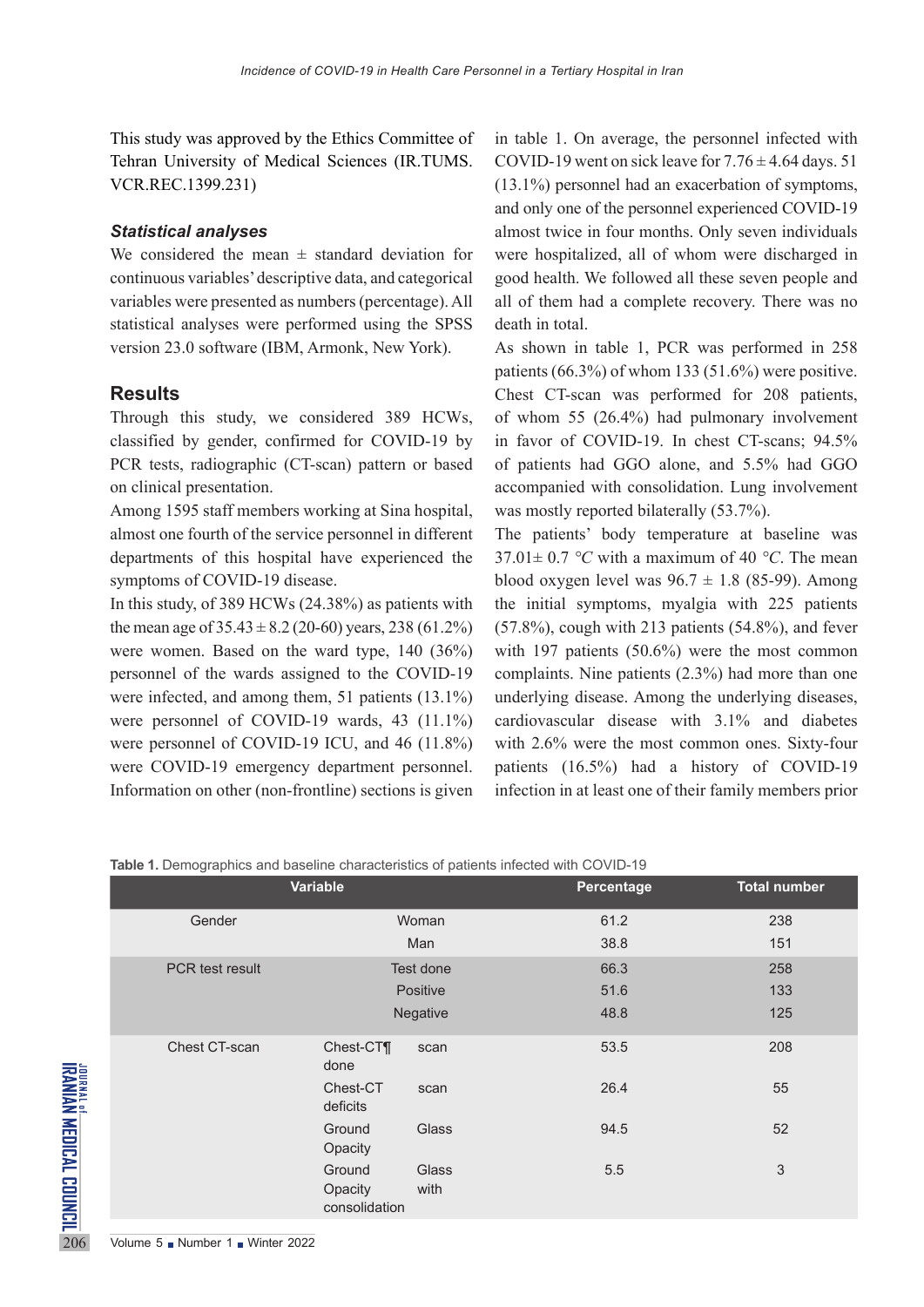This study was approved by the Ethics Committee of Tehran University of Medical Sciences (IR.TUMS. VCR.REC.1399.231)

### *Statistical analyses*

We considered the mean  $\pm$  standard deviation for continuous variables' descriptive data, and categorical variables were presented as numbers (percentage). All statistical analyses were performed using the SPSS version 23.0 software (IBM, Armonk, New York).

### **Results**

Through this study, we considered 389 HCWs, classified by gender, confirmed for COVID-19 by PCR tests, radiographic (CT-scan) pattern or based on clinical presentation.

Among 1595 staff members working at Sina hospital, almost one fourth of the service personnel in different departments of this hospital have experienced the symptoms of COVID-19 disease.

In this study, of 389 HCWs (24.38%) as patients with the mean age of  $35.43 \pm 8.2$  (20-60) years, 238 (61.2%) were women. Based on the ward type, 140 (36%) personnel of the wards assigned to the COVID-19 were infected, and among them, 51 patients (13.1%) were personnel of COVID-19 wards, 43 (11.1%) were personnel of COVID-19 ICU, and 46 (11.8%) were COVID-19 emergency department personnel. Information on other (non-frontline) sections is given

in table 1. On average, the personnel infected with COVID-19 went on sick leave for  $7.76 \pm 4.64$  days. 51 (13.1%) personnel had an exacerbation of symptoms, and only one of the personnel experienced COVID-19 almost twice in four months. Only seven individuals were hospitalized, all of whom were discharged in good health. We followed all these seven people and all of them had a complete recovery. There was no death in total.

As shown in table 1, PCR was performed in 258 patients (66.3%) of whom 133 (51.6%) were positive. Chest CT-scan was performed for 208 patients, of whom 55 (26.4%) had pulmonary involvement in favor of COVID-19. In chest CT-scans; 94.5% of patients had GGO alone, and 5.5% had GGO accompanied with consolidation. Lung involvement was mostly reported bilaterally (53.7%).

The patients' body temperature at baseline was  $37.01 \pm 0.7$  °C with a maximum of 40 °C. The mean blood oxygen level was  $96.7 \pm 1.8$  (85-99). Among the initial symptoms, myalgia with 225 patients  $(57.8\%)$ , cough with 213 patients  $(54.8\%)$ , and fever with 197 patients (50.6%) were the most common complaints. Nine patients (2.3%) had more than one underlying disease. Among the underlying diseases, cardiovascular disease with 3.1% and diabetes with 2.6% were the most common ones. Sixty-four patients (16.5%) had a history of COVID-19 infection in at least one of their family members prior

**Table 1.** Demographics and baseline characteristics of patients infected with COVID-19

|                                   | Variable                      |                                    |               | Total number<br>Percentage |     |  |
|-----------------------------------|-------------------------------|------------------------------------|---------------|----------------------------|-----|--|
|                                   | Gender                        | Woman                              |               | 61.2                       | 238 |  |
|                                   |                               |                                    | Man           | 38.8                       | 151 |  |
|                                   | <b>PCR</b> test result        | Test done                          |               | 66.3                       | 258 |  |
|                                   |                               | Positive                           |               | 51.6                       | 133 |  |
|                                   |                               |                                    | Negative      | 48.8                       | 125 |  |
|                                   | Chest CT-scan                 | Chest-CT¶<br>done                  | scan          | 53.5                       | 208 |  |
|                                   |                               | Chest-CT<br>deficits               | scan          | 26.4                       | 55  |  |
|                                   |                               | Ground<br>Opacity                  | Glass         | 94.5                       | 52  |  |
| <b>URANIAN MEDICAL COUNCIL SS</b> |                               | Ground<br>Opacity<br>consolidation | Glass<br>with | 5.5                        | 3   |  |
|                                   | Volume 5 Number 1 Winter 2022 |                                    |               |                            |     |  |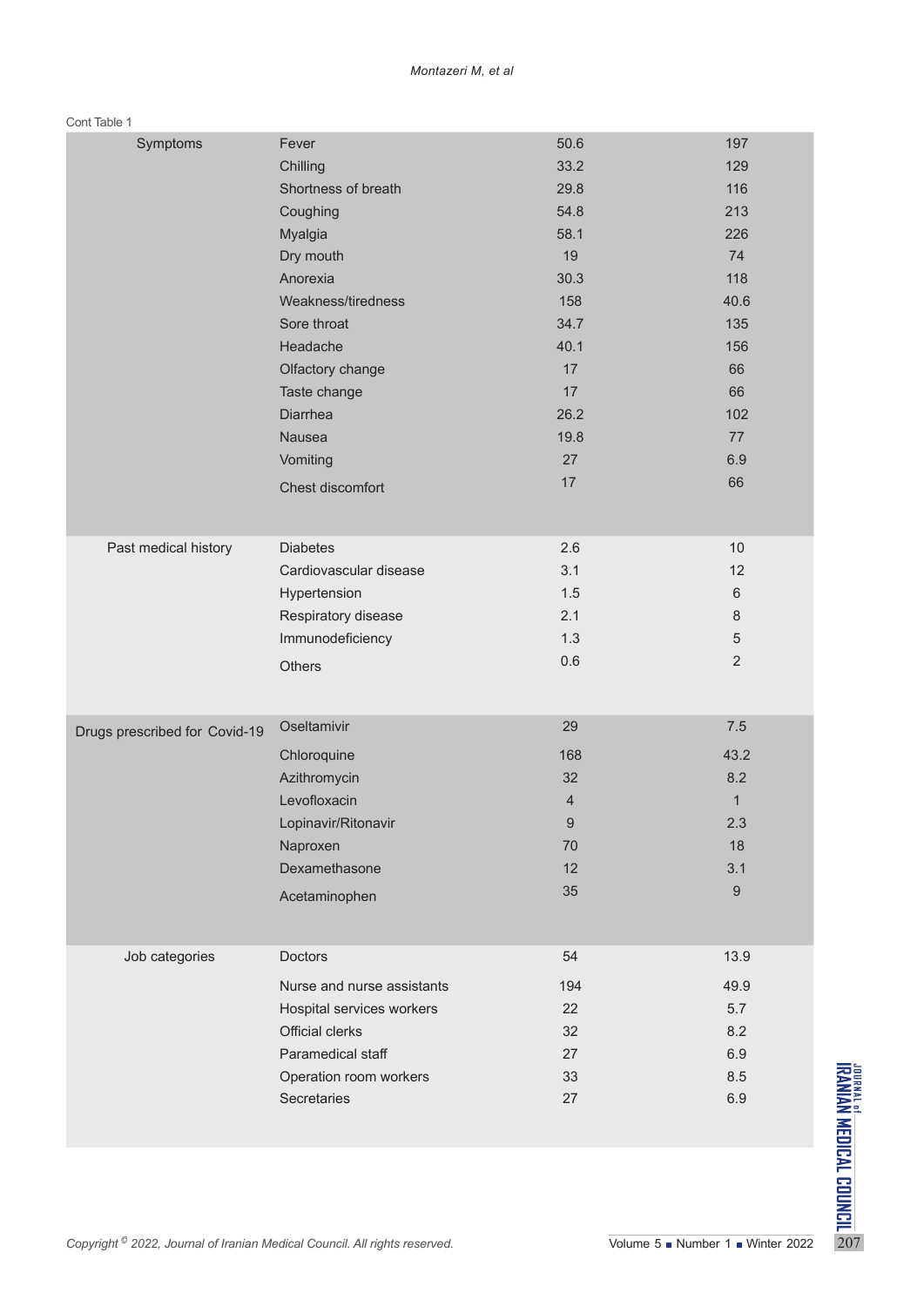#### Cont Table 1

| Symptoms                                                                              | Fever                         | 50.6             | 197            |                                                                                             |  |
|---------------------------------------------------------------------------------------|-------------------------------|------------------|----------------|---------------------------------------------------------------------------------------------|--|
|                                                                                       | Chilling                      | 33.2             | 129            |                                                                                             |  |
|                                                                                       | Shortness of breath           | 29.8             | 116            |                                                                                             |  |
|                                                                                       | Coughing                      | 54.8             | 213            |                                                                                             |  |
|                                                                                       | Myalgia                       | 58.1             | 226            |                                                                                             |  |
|                                                                                       | Dry mouth                     | 19               | 74             |                                                                                             |  |
|                                                                                       | Anorexia                      | 30.3             | 118            |                                                                                             |  |
|                                                                                       | Weakness/tiredness            | 158              | 40.6           |                                                                                             |  |
|                                                                                       | Sore throat                   | 34.7             | 135            |                                                                                             |  |
|                                                                                       | Headache                      | 40.1             | 156            |                                                                                             |  |
|                                                                                       | Olfactory change              | 17               | 66             |                                                                                             |  |
|                                                                                       | Taste change                  | 17               | 66             |                                                                                             |  |
|                                                                                       | Diarrhea                      | 26.2             | 102            |                                                                                             |  |
|                                                                                       | Nausea                        | 19.8             | 77             |                                                                                             |  |
|                                                                                       | Vomiting                      | 27               | 6.9            |                                                                                             |  |
|                                                                                       | Chest discomfort              | 17               | 66             |                                                                                             |  |
|                                                                                       |                               |                  |                |                                                                                             |  |
|                                                                                       |                               |                  |                |                                                                                             |  |
| Past medical history                                                                  | <b>Diabetes</b>               | 2.6              | 10             |                                                                                             |  |
|                                                                                       | Cardiovascular disease        | 3.1              | 12             |                                                                                             |  |
|                                                                                       | Hypertension                  | 1.5              | 6              |                                                                                             |  |
|                                                                                       | Respiratory disease           | 2.1              | 8              |                                                                                             |  |
|                                                                                       | Immunodeficiency              | 1.3              | $\sqrt{5}$     |                                                                                             |  |
|                                                                                       |                               | 0.6              | $\overline{2}$ |                                                                                             |  |
|                                                                                       | Others                        |                  |                |                                                                                             |  |
|                                                                                       |                               |                  |                |                                                                                             |  |
| Drugs prescribed for Covid-19                                                         | Oseltamivir                   | 29               | $7.5\,$        |                                                                                             |  |
|                                                                                       | Chloroquine                   | 168              | 43.2           |                                                                                             |  |
|                                                                                       | Azithromycin                  | 32               | 8.2            |                                                                                             |  |
|                                                                                       | Levofloxacin                  | 4                | $\mathbf 1$    |                                                                                             |  |
|                                                                                       | Lopinavir/Ritonavir           | $\boldsymbol{9}$ | $2.3$          |                                                                                             |  |
|                                                                                       | Naproxen                      | 70               | 18             |                                                                                             |  |
|                                                                                       | Dexamethasone                 | 12               | 3.1            |                                                                                             |  |
|                                                                                       |                               | 35               | $9\,$          |                                                                                             |  |
|                                                                                       | Acetaminophen                 |                  |                |                                                                                             |  |
|                                                                                       |                               |                  |                |                                                                                             |  |
| Job categories                                                                        | Doctors                       | 54               | 13.9           |                                                                                             |  |
|                                                                                       | Nurse and nurse assistants    | 194              | 49.9           |                                                                                             |  |
|                                                                                       | Hospital services workers     | 22               | 5.7            |                                                                                             |  |
|                                                                                       | Official clerks               | 32               | 8.2            |                                                                                             |  |
|                                                                                       | Paramedical staff             | 27               | 6.9            |                                                                                             |  |
|                                                                                       | Operation room workers        | 33               | 8.5            |                                                                                             |  |
|                                                                                       | Secretaries                   | 27               | 6.9            |                                                                                             |  |
|                                                                                       |                               |                  |                |                                                                                             |  |
|                                                                                       |                               |                  |                |                                                                                             |  |
|                                                                                       |                               |                  |                | <b>THERMINAN MEDICAL CONDIT</b><br>Of the manufacturer condit<br>Of the manufacturer condit |  |
|                                                                                       |                               |                  |                |                                                                                             |  |
|                                                                                       |                               |                  |                |                                                                                             |  |
|                                                                                       |                               |                  |                |                                                                                             |  |
| Copyright <sup>©</sup> 2022, Journal of Iranian Medical Council. All rights reserved. | Volume 5 Number 1 Winter 2022 |                  |                |                                                                                             |  |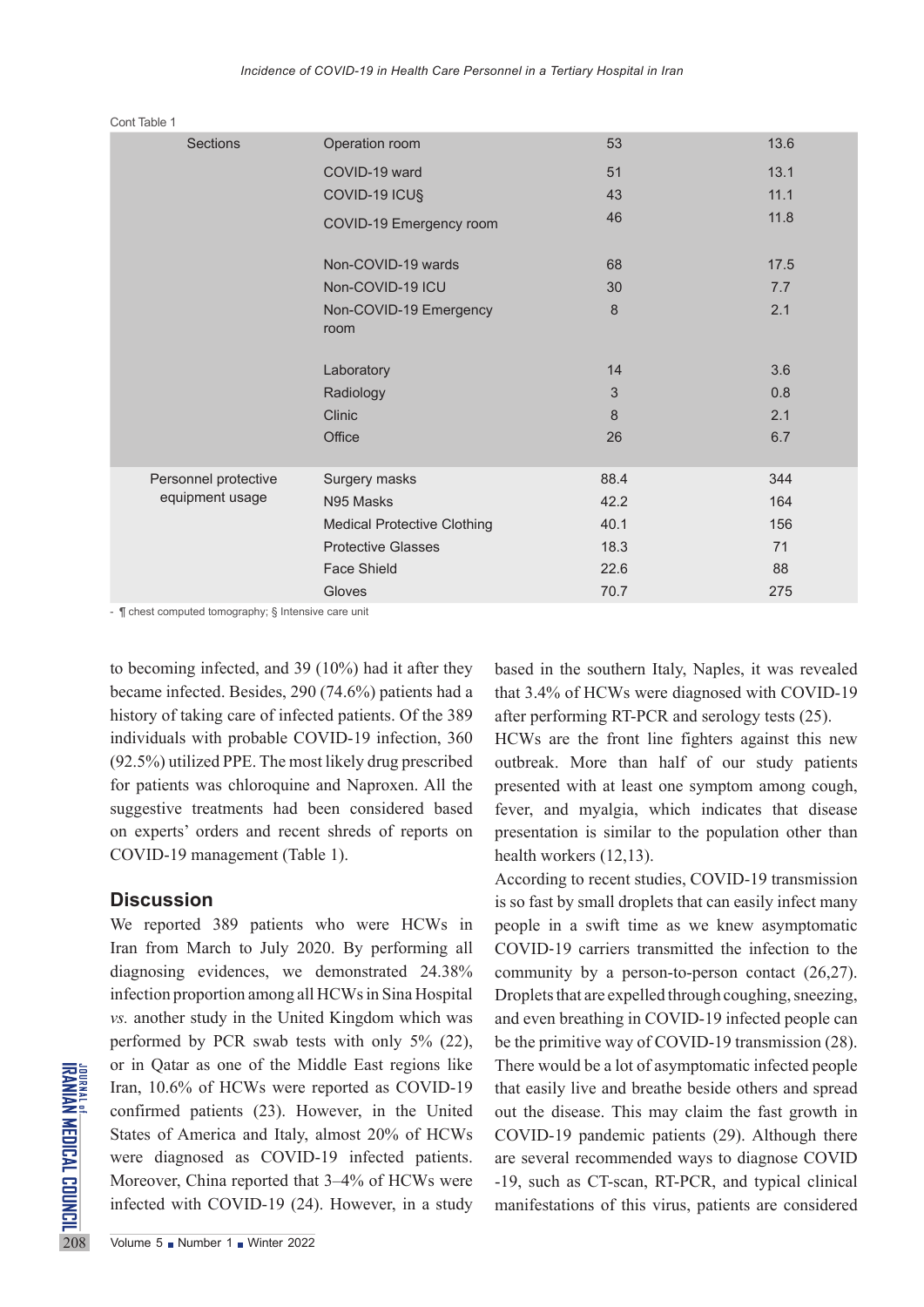|  | Sections             | Operation room                     | 53             | 13.6 |
|--|----------------------|------------------------------------|----------------|------|
|  |                      | COVID-19 ward                      | 51             | 13.1 |
|  |                      | COVID-19 ICU§                      | 43             | 11.1 |
|  |                      | COVID-19 Emergency room            | 46             | 11.8 |
|  |                      | Non-COVID-19 wards                 | 68             | 17.5 |
|  |                      | Non-COVID-19 ICU                   | 30             | 7.7  |
|  |                      | Non-COVID-19 Emergency             | 8              | 2.1  |
|  |                      | room                               |                |      |
|  |                      | Laboratory                         | 14             | 3.6  |
|  |                      | Radiology                          | $\mathfrak{S}$ | 0.8  |
|  |                      | Clinic                             | 8              | 2.1  |
|  |                      | Office                             | 26             | 6.7  |
|  |                      |                                    |                |      |
|  | Personnel protective | Surgery masks                      | 88.4           | 344  |
|  | equipment usage      | N95 Masks                          | 42.2           | 164  |
|  |                      | <b>Medical Protective Clothing</b> | 40.1           | 156  |
|  |                      | <b>Protective Glasses</b>          | 18.3           | 71   |
|  |                      | <b>Face Shield</b>                 | 22.6           | 88   |
|  |                      | Gloves                             | 70.7           | 275  |
|  |                      |                                    |                |      |

Cont Table 1

- ¶ chest computed tomography; § Intensive care unit

to becoming infected, and 39 (10%) had it after they became infected. Besides, 290 (74.6%) patients had a history of taking care of infected patients. Of the 389 individuals with probable COVID-19 infection, 360 (92.5%) utilized PPE. The most likely drug prescribed for patients was chloroquine and Naproxen. All the suggestive treatments had been considered based on experts' orders and recent shreds of reports on COVID-19 management (Table 1).

### **Discussion**

FOR THE STATE or in Qatar as one of the Minimal<br>
Leader Iran, 10.6% of HCWs were a<br>
confirmed patients (23). Ho<br>
States of America and Italy,<br>
were diagnosed as COVID<br>
Moreover, China reported tha<br>
infected with COVID-19 ( We reported 389 patients who were HCWs in Iran from March to July 2020. By performing all diagnosing evidences, we demonstrated 24.38% infection proportion among all HCWs in Sina Hospital *vs.* another study in the United Kingdom which was performed by PCR swab tests with only 5% (22), or in Qatar as one of the Middle East regions like Iran, 10.6% of HCWs were reported as COVID-19 confirmed patients (23). However, in the United States of America and Italy, almost 20% of HCWs were diagnosed as COVID-19 infected patients. Moreover, China reported that 3–4% of HCWs were infected with COVID-19 (24). However, in a study

based in the southern Italy, Naples, it was revealed that 3.4% of HCWs were diagnosed with COVID-19 after performing RT-PCR and serology tests (25).

HCWs are the front line fighters against this new outbreak. More than half of our study patients presented with at least one symptom among cough, fever, and myalgia, which indicates that disease presentation is similar to the population other than health workers (12,13).

According to recent studies, COVID-19 transmission is so fast by small droplets that can easily infect many people in a swift time as we knew asymptomatic COVID‐19 carriers transmitted the infection to the community by a person-to-person contact (26,27). Droplets that are expelled through coughing, sneezing, and even breathing in COVID-19 infected people can be the primitive way of COVID-19 transmission (28). There would be a lot of asymptomatic infected people that easily live and breathe beside others and spread out the disease. This may claim the fast growth in COVID-19 pandemic patients (29). Although there are several recommended ways to diagnose COVID -19, such as CT-scan, RT-PCR, and typical clinical manifestations of this virus, patients are considered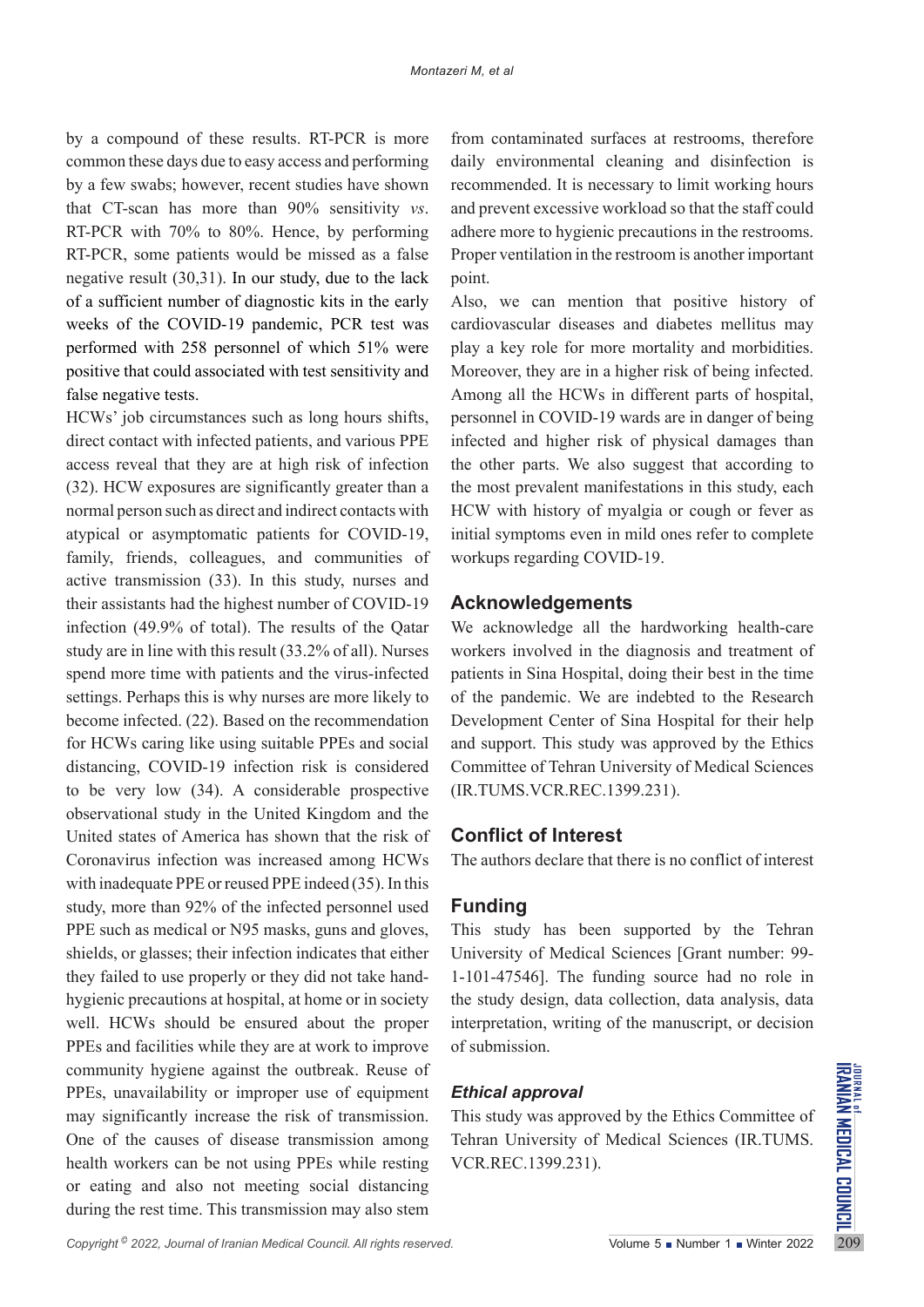by a compound of these results. RT-PCR is more common these days due to easy access and performing by a few swabs; however, recent studies have shown that CT-scan has more than 90% sensitivity *vs*. RT-PCR with 70% to 80%. Hence, by performing RT-PCR, some patients would be missed as a false negative result (30,31). In our study, due to the lack of a sufficient number of diagnostic kits in the early weeks of the COVID-19 pandemic, PCR test was performed with 258 personnel of which 51% were positive that could associated with test sensitivity and false negative tests.

HCWs' job circumstances such as long hours shifts, direct contact with infected patients, and various PPE access reveal that they are at high risk of infection (32). HCW exposures are significantly greater than a normal person such as direct and indirect contacts with atypical or asymptomatic patients for COVID-19, family, friends, colleagues, and communities of active transmission (33). In this study, nurses and their assistants had the highest number of COVID-19 infection (49.9% of total). The results of the Qatar study are in line with this result (33.2% of all). Nurses spend more time with patients and the virus-infected settings. Perhaps this is why nurses are more likely to become infected. (22). Based on the recommendation for HCWs caring like using suitable PPEs and social distancing, COVID-19 infection risk is considered to be very low (34). A considerable prospective observational study in the United Kingdom and the United states of America has shown that the risk of Coronavirus infection was increased among HCWs with inadequate PPE or reused PPE indeed (35). In this study, more than 92% of the infected personnel used PPE such as medical or N95 masks, guns and gloves, shields, or glasses; their infection indicates that either they failed to use properly or they did not take handhygienic precautions at hospital, at home or in society well. HCWs should be ensured about the proper PPEs and facilities while they are at work to improve community hygiene against the outbreak. Reuse of PPEs, unavailability or improper use of equipment may significantly increase the risk of transmission. One of the causes of disease transmission among health workers can be not using PPEs while resting or eating and also not meeting social distancing during the rest time. This transmission may also stem

from contaminated surfaces at restrooms, therefore daily environmental cleaning and disinfection is recommended. It is necessary to limit working hours and prevent excessive workload so that the staff could adhere more to hygienic precautions in the restrooms. Proper ventilation in the restroom is another important point.

Also, we can mention that positive history of cardiovascular diseases and diabetes mellitus may play a key role for more mortality and morbidities. Moreover, they are in a higher risk of being infected. Among all the HCWs in different parts of hospital, personnel in COVID-19 wards are in danger of being infected and higher risk of physical damages than the other parts. We also suggest that according to the most prevalent manifestations in this study, each HCW with history of myalgia or cough or fever as initial symptoms even in mild ones refer to complete workups regarding COVID-19.

## **Acknowledgements**

We acknowledge all the hardworking health-care workers involved in the diagnosis and treatment of patients in Sina Hospital, doing their best in the time of the pandemic. We are indebted to the Research Development Center of Sina Hospital for their help and support. This study was approved by the Ethics Committee of Tehran University of Medical Sciences (IR.TUMS.VCR.REC.1399.231).

## **Conflict of Interest**

The authors declare that there is no conflict of interest

## **Funding**

This study has been supported by the Tehran University of Medical Sciences [Grant number: 99- 1-101-47546]. The funding source had no role in the study design, data collection, data analysis, data interpretation, writing of the manuscript, or decision of submission.

# *Ethical approval*

This study was approved by the Ethics Committee of Tehran University of Medical Sciences (IR.TUMS. VCR.REC.1399.231).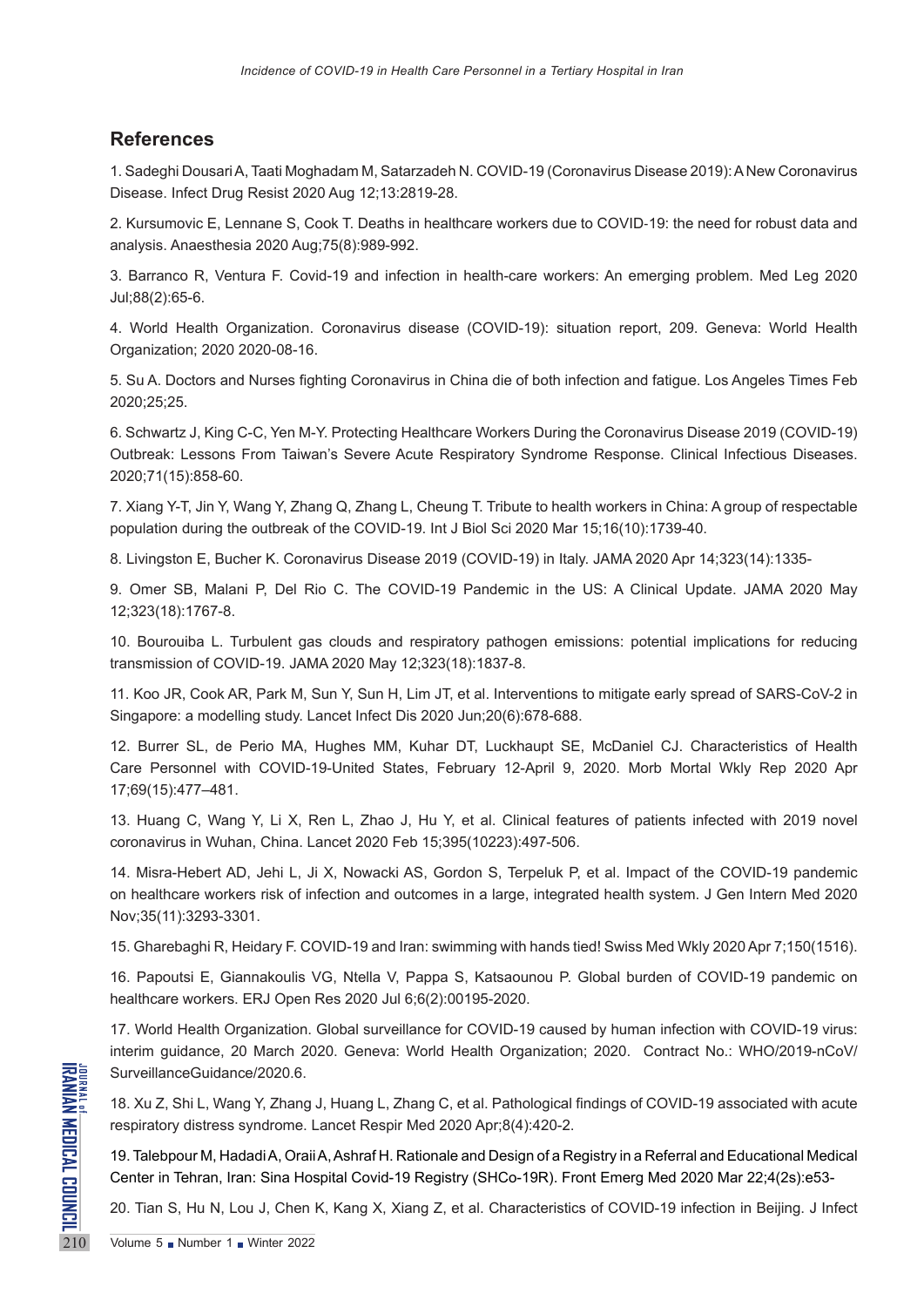# **References**

1. Sadeghi Dousari A, Taati Moghadam M, Satarzadeh N. COVID-19 (Coronavirus Disease 2019): A New Coronavirus Disease. Infect Drug Resist 2020 Aug 12;13:2819-28.

2. Kursumovic E, Lennane S, Cook T. Deaths in healthcare workers due to COVID‐19: the need for robust data and analysis. Anaesthesia 2020 Aug;75(8):989-992.

3. Barranco R, Ventura F. Covid-19 and infection in health-care workers: An emerging problem. Med Leg 2020 Jul;88(2):65-6.

4. World Health Organization. Coronavirus disease (COVID-19): situation report, 209. Geneva: World Health Organization; 2020 2020-08-16.

5. Su A. Doctors and Nurses fighting Coronavirus in China die of both infection and fatigue. Los Angeles Times Feb 2020;25;25.

6. Schwartz J, King C-C, Yen M-Y. Protecting Healthcare Workers During the Coronavirus Disease 2019 (COVID-19) Outbreak: Lessons From Taiwan's Severe Acute Respiratory Syndrome Response. Clinical Infectious Diseases. 2020;71(15):858-60.

7. Xiang Y-T, Jin Y, Wang Y, Zhang Q, Zhang L, Cheung T. Tribute to health workers in China: A group of respectable population during the outbreak of the COVID-19. Int J Biol Sci 2020 Mar 15;16(10):1739-40.

8. Livingston E, Bucher K. Coronavirus Disease 2019 (COVID-19) in Italy. JAMA 2020 Apr 14;323(14):1335-

9. Omer SB, Malani P, Del Rio C. The COVID-19 Pandemic in the US: A Clinical Update. JAMA 2020 May 12;323(18):1767-8.

10. Bourouiba L. Turbulent gas clouds and respiratory pathogen emissions: potential implications for reducing transmission of COVID-19. JAMA 2020 May 12;323(18):1837-8.

11. Koo JR, Cook AR, Park M, Sun Y, Sun H, Lim JT, et al. Interventions to mitigate early spread of SARS-CoV-2 in Singapore: a modelling study. Lancet Infect Dis 2020 Jun;20(6):678-688.

12. Burrer SL, de Perio MA, Hughes MM, Kuhar DT, Luckhaupt SE, McDaniel CJ. Characteristics of Health Care Personnel with COVID-19-United States, February 12-April 9, 2020. Morb Mortal Wkly Rep 2020 Apr 17;69(15):477–481.

13. Huang C, Wang Y, Li X, Ren L, Zhao J, Hu Y, et al. Clinical features of patients infected with 2019 novel coronavirus in Wuhan, China. Lancet 2020 Feb 15;395(10223):497-506.

14. Misra-Hebert AD, Jehi L, Ji X, Nowacki AS, Gordon S, Terpeluk P, et al. Impact of the COVID-19 pandemic on healthcare workers risk of infection and outcomes in a large, integrated health system. J Gen Intern Med 2020 Nov;35(11):3293-3301.

15. Gharebaghi R, Heidary F. COVID-19 and Iran: swimming with hands tied! Swiss Med Wkly 2020 Apr 7;150(1516).

16. Papoutsi E, Giannakoulis VG, Ntella V, Pappa S, Katsaounou P. Global burden of COVID-19 pandemic on healthcare workers. ERJ Open Res 2020 Jul 6;6(2):00195-2020.

17. World Health Organization. Global surveillance for COVID-19 caused by human infection with COVID-19 virus: interim guidance, 20 March 2020. Geneva: World Health Organization; 2020. Contract No.: WHO/2019-nCoV/ SurveillanceGuidance/2020.6.

18. Xu Z, Shi L, Wang Y, Zhang J, Huang L, Zhang C, et al. Pathological findings of COVID-19 associated with acute respiratory distress syndrome. Lancet Respir Med 2020 Apr;8(4):420-2.

SurveillanceGuidance/2020.6.<br>
18. Xu Z, Shi L, Wang Y, Zhang .<br>
respiratory distress syndrome. L<br>
19. Talebpour M, Hadadi A, Oraii<br>
Center in Tehran, Iran: Sina Hos<br>
20. Tian S, Hu N, Lou J, Chen I<br>
Volume 5 • Number 1 • W 19. Talebpour M, Hadadi A, Oraii A, Ashraf H. Rationale and Design of a Registry in a Referral and Educational Medical Center in Tehran, Iran: Sina Hospital Covid-19 Registry (SHCo-19R). Front Emerg Med 2020 Mar 22;4(2s):e53-

20. Tian S, Hu N, Lou J, Chen K, Kang X, Xiang Z, et al. Characteristics of COVID-19 infection in Beijing. J Infect